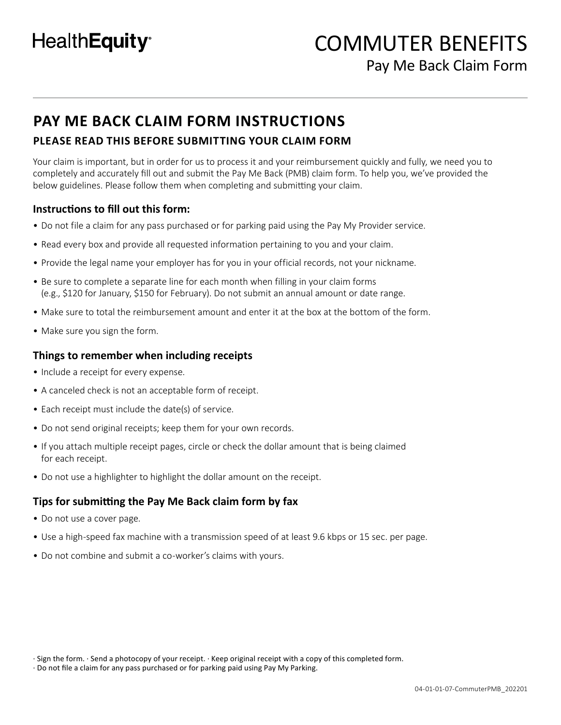# **PAY ME BACK CLAIM FORM INSTRUCTIONS**

# **PLEASE READ THIS BEFORE SUBMITTING YOUR CLAIM FORM**

Your claim is important, but in order for us to process it and your reimbursement quickly and fully, we need you to completely and accurately fill out and submit the Pay Me Back (PMB) claim form. To help you, we've provided the below guidelines. Please follow them when completing and submitting your claim.

# **Instructions to fill out this form:**

- Do not file a claim for any pass purchased or for parking paid using the Pay My Provider service.
- Read every box and provide all requested information pertaining to you and your claim.
- Provide the legal name your employer has for you in your official records, not your nickname.
- Be sure to complete a separate line for each month when filling in your claim forms (e.g., \$120 for January, \$150 for February). Do not submit an annual amount or date range.
- Make sure to total the reimbursement amount and enter it at the box at the bottom of the form.
- Make sure you sign the form.

## **Things to remember when including receipts**

- Include a receipt for every expense.
- A canceled check is not an acceptable form of receipt.
- Each receipt must include the date(s) of service.
- Do not send original receipts; keep them for your own records.
- If you attach multiple receipt pages, circle or check the dollar amount that is being claimed for each receipt.
- Do not use a highlighter to highlight the dollar amount on the receipt.

# **Tips for submitting the Pay Me Back claim form by fax**

- Do not use a cover page.
- Use a high-speed fax machine with a transmission speed of at least 9.6 kbps or 15 sec. per page.
- Do not combine and submit a co-worker's claims with yours.

<sup>·</sup> Sign the form. · Send a photocopy of your receipt. · Keep original receipt with a copy of this completed form.

<sup>·</sup> Do not file a claim for any pass purchased or for parking paid using Pay My Parking.